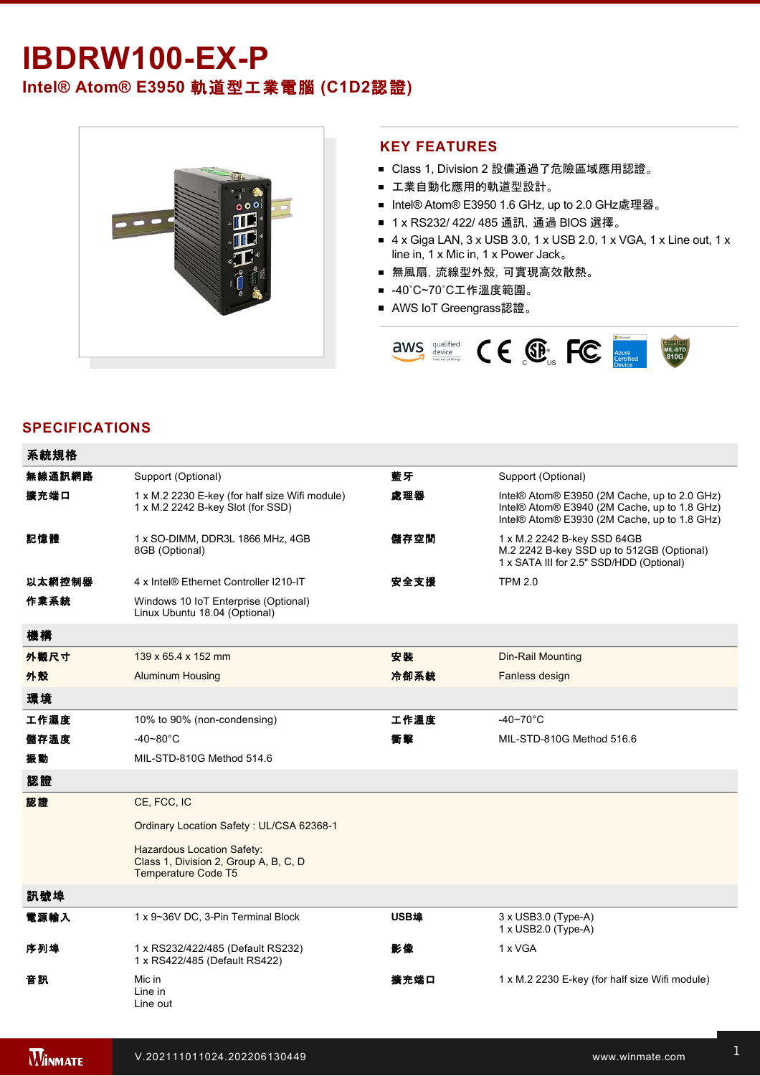# **IBDRW100-EX-P**

# **Intel® Atom® E3950** 軌道型工業電腦 **(C1D2**認證**)**



#### **KEY FEATURES**

- Class 1, Division 2 設備通過了危險區域應用認證。
- 工業自動化應用的軌道型設計。
- Intel® Atom® E3950 1.6 GHz, up to 2.0 GHz處理器。
- 1 x RS232/ 422/ 485 通訊, 通過 BIOS 選擇。
- $\blacksquare$  4 x Giga LAN, 3 x USB 3.0, 1 x USB 2.0, 1 x VGA, 1 x Line out, 1 x line in, 1 x Mic in, 1 x Power Jack。
- 無風扇,流線型外殼,可實現高效散熱。
- -40℃~70℃工作溫度範圍。
- AWS IoT Greengrass認證。



### **SPECIFICATIONS**

| 系統規格   |                                                                                                          |      |                                                                                                                                              |
|--------|----------------------------------------------------------------------------------------------------------|------|----------------------------------------------------------------------------------------------------------------------------------------------|
| 無線通訊網路 | Support (Optional)                                                                                       | 藍牙   | Support (Optional)                                                                                                                           |
| 擴充端口   | 1 x M.2 2230 E-key (for half size Wifi module)<br>1 x M.2 2242 B-key Slot (for SSD)                      | 處理器  | Intel® Atom® E3950 (2M Cache, up to 2.0 GHz)<br>Intel® Atom® E3940 (2M Cache, up to 1.8 GHz)<br>Intel® Atom® E3930 (2M Cache, up to 1.8 GHz) |
| 記憶體    | 1 x SO-DIMM, DDR3L 1866 MHz, 4GB<br>8GB (Optional)                                                       | 儲存空間 | 1 x M.2 2242 B-key SSD 64GB<br>M.2 2242 B-key SSD up to 512GB (Optional)<br>1 x SATA III for 2.5" SSD/HDD (Optional)                         |
| 以太網控制器 | 4 x Intel® Ethernet Controller I210-IT                                                                   | 安全支援 | <b>TPM 2.0</b>                                                                                                                               |
| 作業系統   | Windows 10 IoT Enterprise (Optional)<br>Linux Ubuntu 18.04 (Optional)                                    |      |                                                                                                                                              |
| 機構     |                                                                                                          |      |                                                                                                                                              |
| 外觀尺寸   | 139 x 65.4 x 152 mm                                                                                      | 安装   | Din-Rail Mounting                                                                                                                            |
| 外殼     | <b>Aluminum Housing</b>                                                                                  | 冷卻系統 | Fanless design                                                                                                                               |
| 環境     |                                                                                                          |      |                                                                                                                                              |
| 工作濕度   | 10% to 90% (non-condensing)                                                                              | 工作溫度 | $-40 - 70$ °C                                                                                                                                |
| 儲存溫度   | $-40 - 80^{\circ}$ C                                                                                     | 衝擊   | MIL-STD-810G Method 516.6                                                                                                                    |
| 振動     | MIL-STD-810G Method 514.6                                                                                |      |                                                                                                                                              |
| 認證     |                                                                                                          |      |                                                                                                                                              |
| 認證     | CE, FCC, IC                                                                                              |      |                                                                                                                                              |
|        | Ordinary Location Safety: UL/CSA 62368-1                                                                 |      |                                                                                                                                              |
|        | <b>Hazardous Location Safety:</b><br>Class 1, Division 2, Group A, B, C, D<br><b>Temperature Code T5</b> |      |                                                                                                                                              |
| 訊號埠    |                                                                                                          |      |                                                                                                                                              |
| 電源輸入   | 1 x 9~36V DC, 3-Pin Terminal Block                                                                       | USB埠 | $3 \times$ USB $3.0$ (Type-A)<br>$1 \times$ USB2.0 (Type-A)                                                                                  |
| 序列埠    | 1 x RS232/422/485 (Default RS232)<br>1 x RS422/485 (Default RS422)                                       | 影像   | 1 x VGA                                                                                                                                      |
| 音訊     | Mic in<br>Line in<br>Line out                                                                            | 擴充端口 | 1 x M.2 2230 E-key (for half size Wifi module)                                                                                               |

控制

1 x LED Indicator for storage